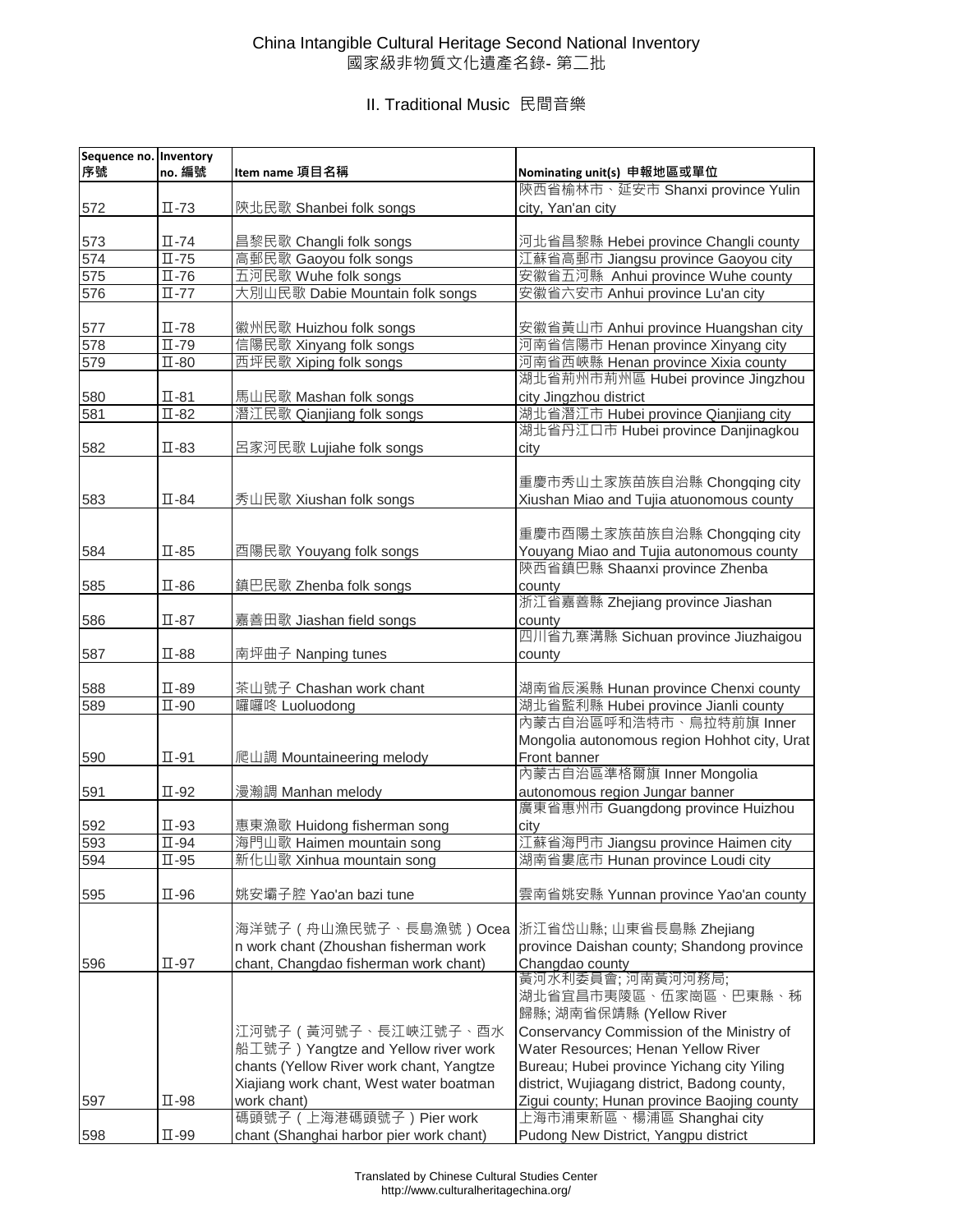### China Intangible Cultural Heritage Second National Inventory 國家級非物質文化遺產名錄- 第二批

| Sequence no. Inventory<br>序號 | no. 編號                      | Item name 項目名稱                           | Nominating unit(s) 申報地區或單位                   |
|------------------------------|-----------------------------|------------------------------------------|----------------------------------------------|
|                              |                             |                                          | 陝西省榆林市、延安市 Shanxi province Yulin             |
| 572                          | $\Pi$ -73                   | 陝北民歌 Shanbei folk songs                  | city, Yan'an city                            |
| 573                          | $\Pi$ -74                   | 昌黎民歌 Changli folk songs                  | 河北省昌黎縣 Hebei province Changli county         |
| 574                          | $\Pi$ -75                   | 高郵民歌 Gaoyou folk songs                   | 江蘇省高郵市 Jiangsu province Gaoyou city          |
|                              |                             |                                          |                                              |
| 575                          | $\overline{\mathbb{L}}$ -76 | 五河民歌 Wuhe folk songs                     | 安徽省五河縣 Anhui province Wuhe county            |
| 576                          | $\Pi$ -77                   | 大別山民歌 Dabie Mountain folk songs          | 安徽省六安市 Anhui province Lu'an city             |
| 577                          | $\Pi$ -78                   | 徽州民歌 Huizhou folk songs                  | 安徽省黃山市 Anhui province Huangshan city         |
| 578                          | $\overline{\mathbb{L}}$ -79 | 信陽民歌 Xinyang folk songs                  | 河南省信陽市 Henan province Xinyang city           |
| 579                          | $\Pi$ -80                   | 西坪民歌 Xiping folk songs                   | 河南省西峽縣 Henan province Xixia county           |
|                              |                             |                                          | 湖北省荊州市荊州區 Hubei province Jingzhou            |
| 580                          | $\Pi$ -81                   | 馬山民歌 Mashan folk songs                   | city Jingzhou district                       |
| 581                          | $\Pi$ -82                   | 潛江民歌 Qianjiang folk songs                | 湖北省潛江市 Hubei province Qianjiang city         |
|                              |                             |                                          | 湖北省丹江口市 Hubei province Danjinagkou           |
| 582                          | $\Pi$ -83                   | 呂家河民歌 Lujiahe folk songs                 | city                                         |
|                              |                             |                                          |                                              |
|                              |                             |                                          | 重慶市秀山土家族苗族自治縣 Chongqing city                 |
| 583                          | $\Pi$ -84                   | 秀山民歌 Xiushan folk songs                  | Xiushan Miao and Tujia atuonomous county     |
|                              |                             |                                          | 重慶市酉陽土家族苗族自治縣 Chongqing city                 |
| 584                          | $\Pi$ -85                   | 酉陽民歌 Youyang folk songs                  | Youyang Miao and Tujia autonomous county     |
|                              |                             |                                          | 陝西省鎮巴縣 Shaanxi province Zhenba               |
| 585                          | $\Pi$ -86                   | 鎮巴民歌 Zhenba folk songs                   | county                                       |
|                              |                             |                                          | 浙江省嘉善縣 Zhejiang province Jiashan             |
| 586                          | $\Pi$ -87                   | 嘉善田歌 Jiashan field songs                 | county                                       |
|                              |                             |                                          | 四川省九寨溝縣 Sichuan province Jiuzhaigou          |
| 587                          | $\Pi$ -88                   | 南坪曲子 Nanping tunes                       | county                                       |
|                              |                             |                                          |                                              |
| 588                          | $\Pi$ -89                   | 茶山號子 Chashan work chant                  | 湖南省辰溪縣 Hunan province Chenxi county          |
| 589                          | $\Pi$ -90                   | 囉囉咚 Luoluodong                           | 湖北省監利縣 Hubei province Jianli county          |
|                              |                             |                                          | 內蒙古自治區呼和浩特市、烏拉特前旗 Inner                      |
|                              |                             |                                          | Mongolia autonomous region Hohhot city, Urat |
| 590                          | $\Pi$ -91                   | 爬山調 Mountaineering melody                | Front banner                                 |
|                              |                             |                                          | 內蒙古自治區準格爾旗 Inner Mongolia                    |
| 591                          | $\Pi$ -92                   | 漫瀚調 Manhan melody                        | autonomous region Jungar banner              |
|                              |                             |                                          | 廣東省惠州市 Guangdong province Huizhou            |
| 592                          | $\Pi$ -93                   | 惠東漁歌 Huidong fisherman song              | city                                         |
| 593                          | $\Pi$ -94                   | 海門山歌 Haimen mountain song                | 江蘇省海門市 Jiangsu province Haimen city          |
| 594                          | $\Pi$ -95                   | 新化山歌 Xinhua mountain song                | 湖南省婁底市 Hunan province Loudi city             |
|                              |                             |                                          |                                              |
| 595                          | $\Pi$ -96                   | 姚安壩子腔 Yao'an bazi tune                   | 雲南省姚安縣 Yunnan province Yao'an county         |
|                              |                             |                                          |                                              |
|                              |                             | 海洋號子 (舟山漁民號子、長島漁號)Ocea                   | 浙江省岱山縣; 山東省長島縣 Zhejiang                      |
|                              |                             | n work chant (Zhoushan fisherman work    | province Daishan county; Shandong province   |
| 596                          | $\Pi$ -97                   | chant, Changdao fisherman work chant)    | Changdao county                              |
|                              |                             |                                          | 黃河水利委員會;河南黃河河務局;                             |
|                              |                             |                                          | 湖北省宜昌市夷陵區、伍家崗區、巴東縣、秭                         |
|                              |                             |                                          | 歸縣; 湖南省保靖縣 (Yellow River                     |
|                              |                             | 江河號子 ( 黃河號子、長江峽江號子、酉水                    | Conservancy Commission of the Ministry of    |
|                              |                             | 船工號子) Yangtze and Yellow river work      | Water Resources; Henan Yellow River          |
|                              |                             | chants (Yellow River work chant, Yangtze | Bureau; Hubei province Yichang city Yiling   |
|                              |                             | Xiajiang work chant, West water boatman  | district, Wujiagang district, Badong county, |
|                              |                             | work chant)                              |                                              |
| 597                          | $\Pi$ -98                   | 碼頭號子 (上海港碼頭號子) Pier work                 | Zigui county; Hunan province Baojing county  |
|                              |                             |                                          | 上海市浦東新區、楊浦區 Shanghai city                    |
| 598                          | $\Pi$ -99                   | chant (Shanghai harbor pier work chant)  | Pudong New District, Yangpu district         |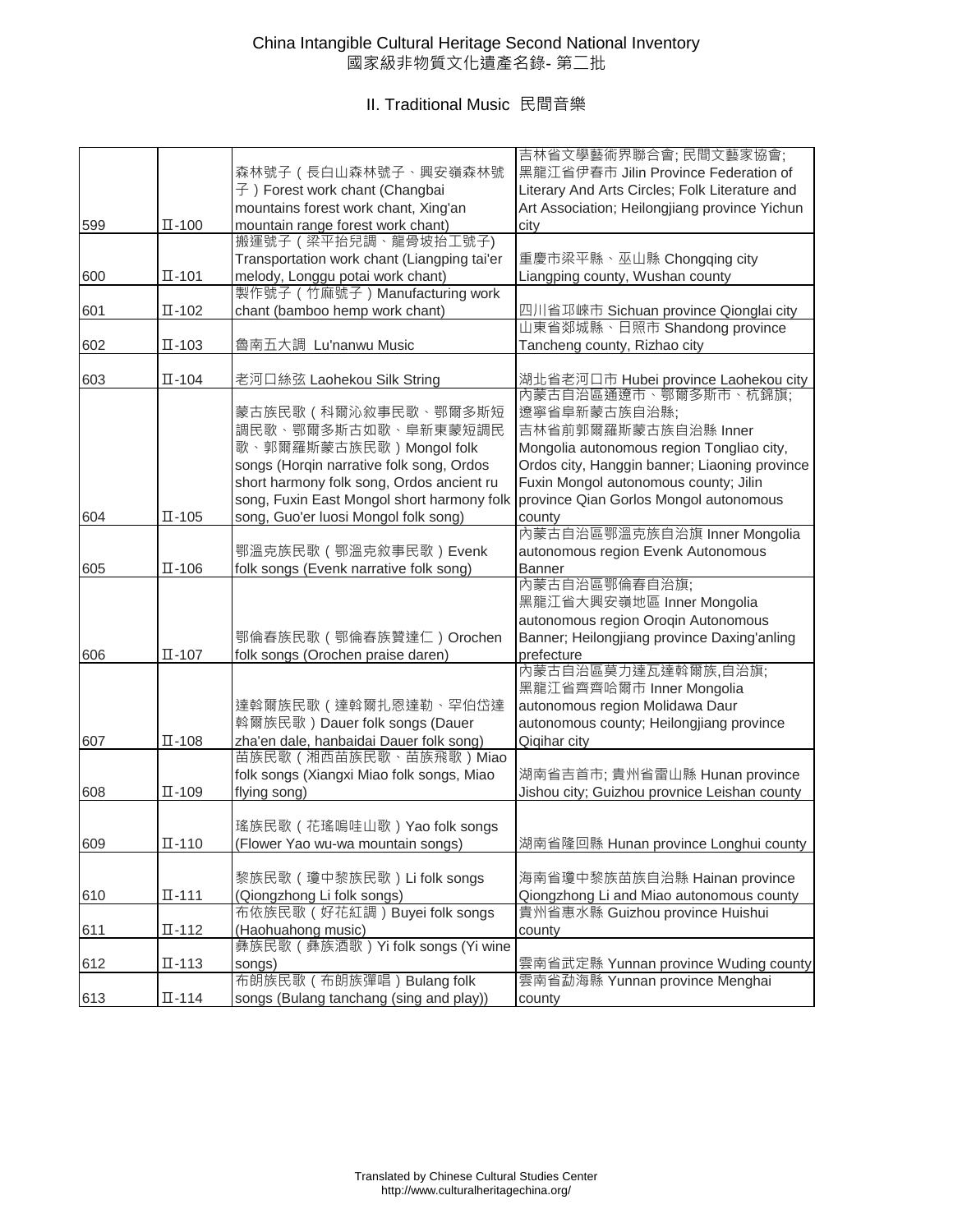### China Intangible Cultural Heritage Second National Inventory 國家級非物質文化遺產名錄- 第二批

|     |                              |                                                                    | 吉林省文學藝術界聯合會;民間文藝家協會;                                         |
|-----|------------------------------|--------------------------------------------------------------------|--------------------------------------------------------------|
|     |                              | 森林號子 ( 長白山森林號子、興安嶺森林號                                              | 黑龍江省伊春市 Jilin Province Federation of                         |
|     |                              | 子) Forest work chant (Changbai                                     | Literary And Arts Circles; Folk Literature and               |
|     |                              | mountains forest work chant, Xing'an                               | Art Association; Heilongjiang province Yichun                |
| 599 | $\Pi - 100$                  | mountain range forest work chant)                                  | city                                                         |
|     |                              | 搬運號子 (梁平抬兒調、龍骨坡抬工號子)                                               |                                                              |
|     |                              | Transportation work chant (Liangping tai'er                        | 重慶市梁平縣、巫山縣 Chongqing city                                    |
| 600 | $\Pi - 101$                  | melody, Longgu potai work chant)                                   | Liangping county, Wushan county                              |
|     |                              | 製作號子 (竹麻號子) Manufacturing work                                     |                                                              |
| 601 | $\Pi - 102$                  | chant (bamboo hemp work chant)                                     | 四川省邛崍市 Sichuan province Qionglai city                        |
|     |                              |                                                                    | 山東省郯城縣、日照市 Shandong province                                 |
| 602 | $\Pi$ -103                   | 魯南五大調 Lu'nanwu Music                                               | Tancheng county, Rizhao city                                 |
|     |                              |                                                                    |                                                              |
| 603 | $\Pi$ -104                   | 老河口絲弦 Laohekou Silk String                                         |                                                              |
|     |                              |                                                                    | 湖北省老河口市 Hubei province Laohekou city<br>內蒙古自治區通遼市、鄂爾多斯市、杭錦旗; |
|     |                              | 蒙古族民歌(科爾沁敘事民歌、鄂爾多斯短                                                | 遼寧省阜新蒙古族自治縣;                                                 |
|     |                              | 調民歌、鄂爾多斯古如歌、阜新東蒙短調民                                                | 吉林省前郭爾羅斯蒙古族自治縣 Inner                                         |
|     |                              | 歌、郭爾羅斯蒙古族民歌) Mongol folk                                           | Mongolia autonomous region Tongliao city,                    |
|     |                              | songs (Horqin narrative folk song, Ordos                           | Ordos city, Hanggin banner; Liaoning province                |
|     |                              | short harmony folk song, Ordos ancient ru                          | Fuxin Mongol autonomous county; Jilin                        |
|     |                              | song, Fuxin East Mongol short harmony folk                         | province Qian Gorlos Mongol autonomous                       |
| 604 | $\Pi - 105$                  | song, Guo'er luosi Mongol folk song)                               | county                                                       |
|     |                              |                                                                    | 内蒙古自治區鄂溫克族自治旗 Inner Mongolia                                 |
|     |                              | 鄂溫克族民歌 (鄂溫克敘事民歌) Evenk                                             | autonomous region Evenk Autonomous                           |
| 605 | $\Pi$ -106                   | folk songs (Evenk narrative folk song)                             | <b>Banner</b>                                                |
|     |                              |                                                                    | 內蒙古自治區鄂倫春自治旗;                                                |
|     |                              |                                                                    | 黑龍江省大興安嶺地區 Inner Mongolia                                    |
|     |                              |                                                                    | autonomous region Oroqin Autonomous                          |
|     |                              | 鄂倫春族民歌 (鄂倫春族贊達仁) Orochen                                           | Banner; Heilongjiang province Daxing'anling                  |
| 606 | $\Pi - 107$                  | folk songs (Orochen praise daren)                                  | prefecture                                                   |
|     |                              |                                                                    | 內蒙古自治區莫力達瓦達斡爾族,自治旗;                                          |
|     |                              |                                                                    | 黑龍江省齊齊哈爾市 Inner Mongolia                                     |
|     |                              | 達斡爾族民歌 ( 達斡爾扎恩達勒、罕伯岱達                                              | autonomous region Molidawa Daur                              |
|     |                              |                                                                    |                                                              |
|     |                              | 斡爾族民歌) Dauer folk songs (Dauer                                     | autonomous county; Heilongjiang province                     |
| 607 | $\Pi - 108$                  | zha'en dale, hanbaidai Dauer folk song)<br>苗族民歌 (湘西苗族民歌、苗族飛歌) Miao | Qiqihar city                                                 |
|     |                              |                                                                    | 湖南省吉首市; 貴州省雷山縣 Hunan province                                |
|     |                              | folk songs (Xiangxi Miao folk songs, Miao                          | Jishou city; Guizhou provnice Leishan county                 |
| 608 | $\Pi$ -109                   | flying song)                                                       |                                                              |
|     |                              |                                                                    |                                                              |
|     |                              | 瑤族民歌 (花瑤嗚哇山歌) Yao folk songs                                       |                                                              |
| 609 | $\Pi - 110$                  | (Flower Yao wu-wa mountain songs)                                  | 湖南省隆回縣 Hunan province Longhui county                         |
|     |                              |                                                                    |                                                              |
|     |                              | 黎族民歌 (瓊中黎族民歌) Li folk songs                                        | 海南省瓊中黎族苗族自治縣 Hainan province                                 |
| 610 | $\overline{\mathbb{L}}$ -111 | (Qiongzhong Li folk songs)                                         | Qiongzhong Li and Miao autonomous county                     |
|     |                              | 布依族民歌 (好花紅調) Buyei folk songs                                      | 貴州省惠水縣 Guizhou province Huishui                              |
| 611 | $\Pi - 112$                  | (Haohuahong music)                                                 | county                                                       |
|     |                              | 彝族民歌 (彝族酒歌) Yi folk songs (Yi wine                                 |                                                              |
| 612 | $\Pi - 113$                  | songs)                                                             | 雲南省武定縣 Yunnan province Wuding county                         |
|     |                              | 布朗族民歌 (布朗族彈唱) Bulang folk                                          | 雲南省勐海縣 Yunnan province Menghai                               |
| 613 | $\Pi - 114$                  | songs (Bulang tanchang (sing and play))                            | county                                                       |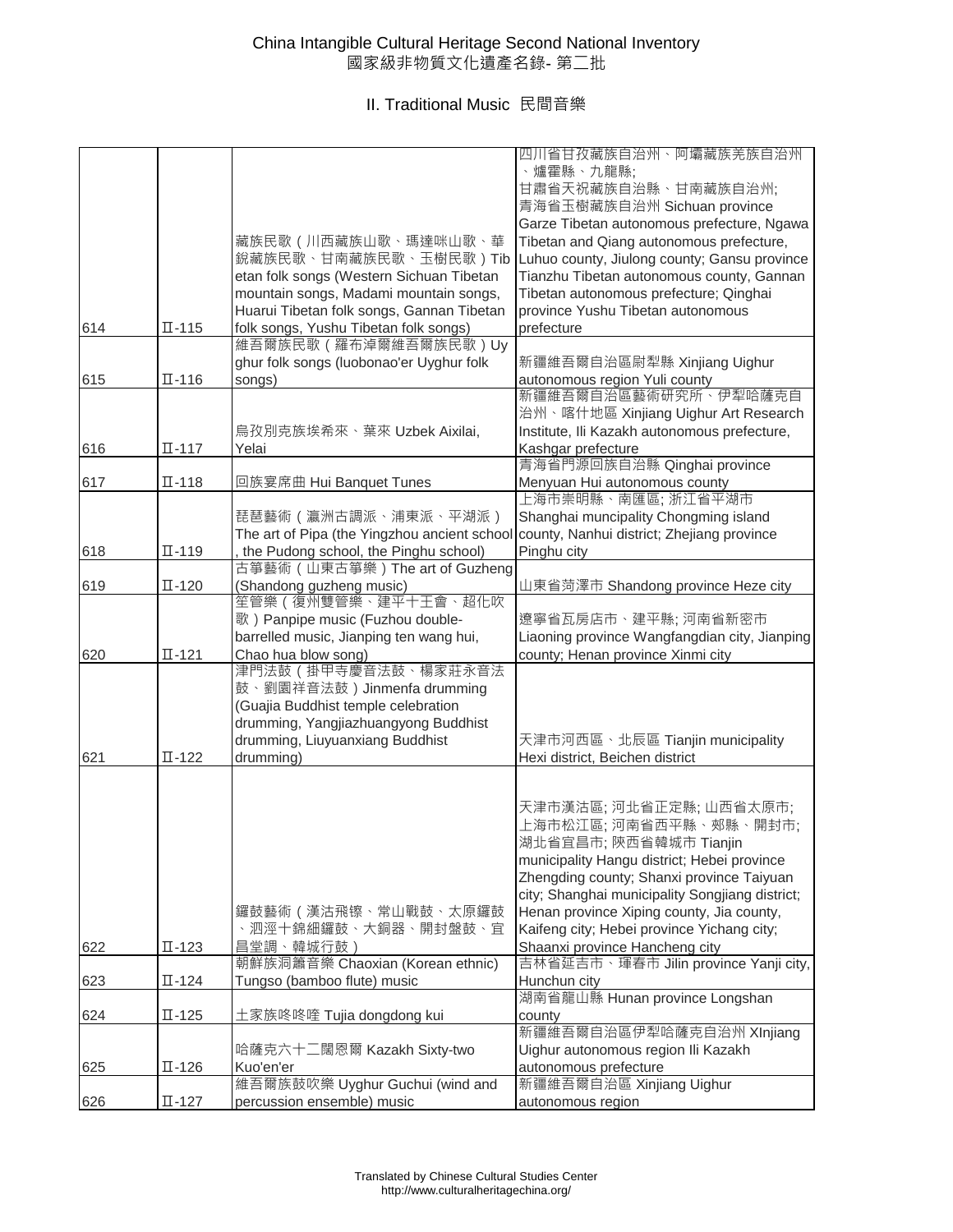|     |                              |                                                                          | 四川省甘孜藏族自治州、阿壩藏族羌族自治州<br>、爐霍縣、九龍縣;<br>甘肅省天祝藏族自治縣、甘南藏族自治州;                                  |
|-----|------------------------------|--------------------------------------------------------------------------|-------------------------------------------------------------------------------------------|
|     |                              |                                                                          | 青海省玉樹藏族自治州 Sichuan province                                                               |
|     |                              |                                                                          | Garze Tibetan autonomous prefecture, Ngawa                                                |
|     |                              | 藏族民歌 (川西藏族山歌、瑪達咪山歌、華<br>銳藏族民歌、甘南藏族民歌、玉樹民歌)Tib                            | Tibetan and Qiang autonomous prefecture,                                                  |
|     |                              | etan folk songs (Western Sichuan Tibetan                                 | Luhuo county, Jiulong county; Gansu province<br>Tianzhu Tibetan autonomous county, Gannan |
|     |                              | mountain songs, Madami mountain songs,                                   | Tibetan autonomous prefecture; Qinghai                                                    |
|     |                              | Huarui Tibetan folk songs, Gannan Tibetan                                | province Yushu Tibetan autonomous                                                         |
| 614 | $\overline{\mathbb{L}}$ -115 | folk songs, Yushu Tibetan folk songs)                                    | prefecture                                                                                |
|     |                              | 維吾爾族民歌 (羅布淖爾維吾爾族民歌)Uy                                                    |                                                                                           |
|     |                              | ghur folk songs (luobonao'er Uyghur folk                                 | 新疆維吾爾自治區尉犁縣 Xinjiang Uighur                                                               |
| 615 | $\Pi - 116$                  | songs)                                                                   | autonomous region Yuli county                                                             |
|     |                              |                                                                          | 新疆維吾爾自治區藝術研究所、伊犁哈薩克自<br>治州、喀什地區 Xinjiang Uighur Art Research                              |
|     |                              | 烏孜別克族埃希來、葉來 Uzbek Aixilai,                                               | Institute, Ili Kazakh autonomous prefecture,                                              |
| 616 | $\overline{\mathbb{L}}$ -117 | Yelai                                                                    | Kashgar prefecture                                                                        |
|     |                              |                                                                          | 青海省門源回族自治縣 Qinghai province                                                               |
| 617 | $\Pi - 118$                  | 回族宴席曲 Hui Banquet Tunes                                                  | Menyuan Hui autonomous county                                                             |
|     |                              |                                                                          | 上海市崇明縣、南匯區; 浙江省平湖市                                                                        |
|     |                              | 琵琶藝術 ( 瀛洲古調派、浦東派、平湖派 )                                                   | Shanghai muncipality Chongming island                                                     |
|     |                              | The art of Pipa (the Yingzhou ancient school                             | county, Nanhui district; Zhejiang province                                                |
| 618 | $\Pi - 119$                  | the Pudong school, the Pinghu school)<br>古箏藝術 (山東古箏樂) The art of Guzheng | Pinghu city                                                                               |
| 619 | $\Pi - 120$                  | (Shandong guzheng music)                                                 | 山東省菏澤市 Shandong province Heze city                                                        |
|     |                              | 笙管樂 ( 復州雙管樂、建平十王會、超化吹                                                    |                                                                                           |
|     |                              | 歌) Panpipe music (Fuzhou double-                                         | 遼寧省瓦房店市、建平縣; 河南省新密市                                                                       |
|     |                              | barrelled music, Jianping ten wang hui,                                  | Liaoning province Wangfangdian city, Jianping                                             |
| 620 | $\Pi - 121$                  | Chao hua blow song)                                                      | county; Henan province Xinmi city                                                         |
|     |                              | 津門法鼓(掛甲寺慶音法鼓、楊家莊永音法                                                      |                                                                                           |
|     |                              | 鼓、劉園祥音法鼓) Jinmenfa drumming                                              |                                                                                           |
|     |                              | (Guajia Buddhist temple celebration                                      |                                                                                           |
|     |                              | drumming, Yangjiazhuangyong Buddhist                                     |                                                                                           |
|     |                              | drumming, Liuyuanxiang Buddhist                                          | 天津市河西區、北辰區 Tianjin municipality                                                           |
| 621 | $\Pi$ -122                   | drumming)                                                                | Hexi district, Beichen district                                                           |
|     |                              |                                                                          |                                                                                           |
|     |                              |                                                                          | 天津市漢沽區; 河北省正定縣; 山西省太原市;                                                                   |
|     |                              |                                                                          | 上海市松江區; 河南省西平縣、郟縣、開封市;<br>湖北省宜昌市; 陝西省韓城市 Tianjin                                          |
|     |                              |                                                                          | municipality Hangu district; Hebei province                                               |
|     |                              |                                                                          | Zhengding county; Shanxi province Taiyuan                                                 |
|     |                              |                                                                          | city; Shanghai municipality Songjiang district;                                           |
|     |                              | 鑼鼓藝術 ( 漢沽飛镲、常山戰鼓、太原鑼鼓                                                    | Henan province Xiping county, Jia county,                                                 |
|     |                              | 、泗涇十錦細鑼鼓、大銅器、開封盤鼓、宜                                                      | Kaifeng city; Hebei province Yichang city;                                                |
| 622 | $\Pi - 123$                  | 昌堂調、韓城行鼓)                                                                | Shaanxi province Hancheng city                                                            |
|     |                              | 朝鮮族洞簫音樂 Chaoxian (Korean ethnic)                                         | 吉林省延吉市、琿春市 Jilin province Yanji city,                                                     |
| 623 | $\Pi - 124$                  | Tungso (bamboo flute) music                                              | Hunchun city                                                                              |
|     |                              |                                                                          | 湖南省龍山縣 Hunan province Longshan                                                            |
| 624 | $\Pi$ -125                   | 土家族咚咚喹 Tujia dongdong kui                                                | county                                                                                    |
|     |                              |                                                                          | 新疆維吾爾自治區伊犁哈薩克自治州 XInjiang                                                                 |
|     |                              | 哈薩克六十二闊恩爾 Kazakh Sixty-two                                               | Uighur autonomous region Ili Kazakh                                                       |
| 625 | $\Pi - 126$                  | Kuo'en'er                                                                | autonomous prefecture                                                                     |
|     |                              | 維吾爾族鼓吹樂 Uyghur Guchui (wind and                                          | 新疆維吾爾自治區 Xinjiang Uighur                                                                  |
| 626 | $\overline{\mathbb{L}}$ -127 | percussion ensemble) music                                               | autonomous region                                                                         |